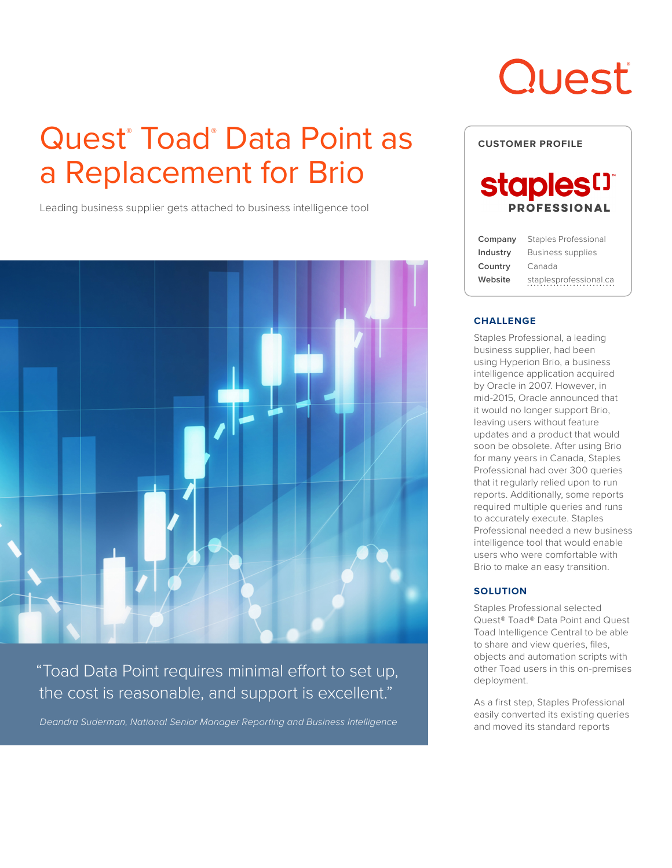## Quest<sup>®</sup> Toad® Data Point as a Replacement for Brio

Leading business supplier gets attached to business intelligence tool



"Toad Data Point requires minimal effort to set up, the cost is reasonable, and support is excellent."

*Deandra Suderman, National Senior Manager Reporting and Business Intelligence*

# Quest



#### **CHALLENGE**

Staples Professional, a leading business supplier, had been using Hyperion Brio, a business intelligence application acquired by Oracle in 2007. However, in mid-2015, Oracle announced that it would no longer support Brio, leaving users without feature updates and a product that would soon be obsolete. After using Brio for many years in Canada, Staples Professional had over 300 queries that it regularly relied upon to run reports. Additionally, some reports required multiple queries and runs to accurately execute. Staples Professional needed a new business intelligence tool that would enable users who were comfortable with Brio to make an easy transition.

#### **SOLUTION**

Staples Professional selected Quest® Toad® Data Point and Quest Toad Intelligence Central to be able to share and view queries, files, objects and automation scripts with other Toad users in this on-premises deployment.

As a first step, Staples Professional easily converted its existing queries and moved its standard reports